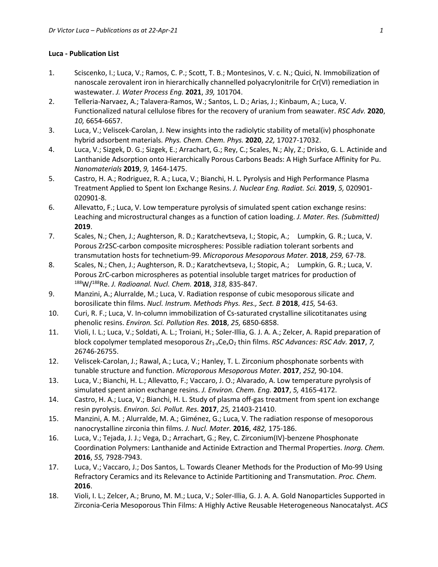## **Luca - Publication List**

- 1. Sciscenko, I.; Luca, V.; Ramos, C. P.; Scott, T. B.; Montesinos, V. c. N.; Quici, N. Immobilization of nanoscale zerovalent iron in hierarchically channelled polyacrylonitrile for Cr(VI) remediation in wastewater. *J. Water Process Eng.* **2021**, *39,* 101704.
- 2. Telleria-Narvaez, A.; Talavera-Ramos, W.; Santos, L. D.; Arias, J.; Kinbaum, A.; Luca, V. Functionalized natural cellulose fibres for the recovery of uranium from seawater. *RSC Adv.* **2020**, *10,* 6654-6657.
- 3. Luca, V.; Veliscek-Carolan, J. New insights into the radiolytic stability of metal(iv) phosphonate hybrid adsorbent materials. *Phys. Chem. Chem. Phys.* **2020**, *22,* 17027-17032.
- 4. Luca, V.; Sizgek, D. G.; Sizgek, E.; Arrachart, G.; Rey, C.; Scales, N.; Aly, Z.; Drisko, G. L. Actinide and Lanthanide Adsorption onto Hierarchically Porous Carbons Beads: A High Surface Affinity for Pu. *Nanomaterials* **2019**, *9,* 1464-1475.
- 5. Castro, H. A.; Rodriguez, R. A.; Luca, V.; Bianchi, H. L. Pyrolysis and High Performance Plasma Treatment Applied to Spent Ion Exchange Resins. *J. Nuclear Eng. Radiat. Sci.* **2019**, *5,* 020901- 020901-8.
- 6. Allevatto, F.; Luca, V. Low temperature pyrolysis of simulated spent cation exchange resins: Leaching and microstructural changes as a function of cation loading. *J. Mater. Res. (Submitted)* **2019**.
- 7. Scales, N.; Chen, J.; Aughterson, R. D.; Karatchevtseva, I.; Stopic, A.; Lumpkin, G. R.; Luca, V. Porous Zr2SC-carbon composite microspheres: Possible radiation tolerant sorbents and transmutation hosts for technetium-99. *Microporous Mesoporous Mater.* **2018**, *259,* 67-78.
- 8. Scales, N.; Chen, J.; Aughterson, R. D.; Karatchevtseva, I.; Stopic, A.; Lumpkin, G. R.; Luca, V. Porous ZrC-carbon microspheres as potential insoluble target matrices for production of 188W/<sup>188</sup>Re. *J. Radioanal. Nucl. Chem.* **2018**, 318, 835-847.
- 9. Manzini, A.; Alurralde, M.; Luca, V. Radiation response of cubic mesoporous silicate and borosilicate thin films. *Nucl. Instrum. Methods Phys. Res., Sect. B* **2018**, *415,* 54-63.
- 10. Curi, R. F.; Luca, V. In-column immobilization of Cs-saturated crystalline silicotitanates using phenolic resins. *Environ. Sci. Pollution Res.* **2018**, *25,* 6850-6858.
- 11. Violi, I. L.; Luca, V.; Soldati, A. L.; Troiani, H.; Soler-Illia, G. J. A. A.; Zelcer, A. Rapid preparation of block copolymer templated mesoporous Zr<sub>1-x</sub>Ce<sub>x</sub>O<sub>2</sub> thin films. *RSC Advances: RSC Adv.* 2017, 7, 26746-26755.
- 12. Veliscek-Carolan, J.; Rawal, A.; Luca, V.; Hanley, T. L. Zirconium phosphonate sorbents with tunable structure and function. *Microporous Mesoporous Mater.* **2017**, *252,* 90-104.
- 13. Luca, V.; Bianchi, H. L.; Allevatto, F.; Vaccaro, J. O.; Alvarado, A. Low temperature pyrolysis of simulated spent anion exchange resins. *J. Environ. Chem. Eng.* **2017**, *5,* 4165-4172.
- 14. Castro, H. A.; Luca, V.; Bianchi, H. L. Study of plasma off-gas treatment from spent ion exchange resin pyrolysis. *Environ. Sci. Pollut. Res.* **2017**, *25,* 21403-21410.
- 15. Manzini, A. M. ; Alurralde, M. A.; Giménez, G.; Luca, V. The radiation response of mesoporous nanocrystalline zirconia thin films. *J. Nucl. Mater.* **2016**, *482,* 175-186.
- 16. Luca, V.; Tejada, J. J.; Vega, D.; Arrachart, G.; Rey, C. Zirconium(IV)-benzene Phosphonate Coordination Polymers: Lanthanide and Actinide Extraction and Thermal Properties. *Inorg. Chem.* **2016**, *55,* 7928-7943.
- 17. Luca, V.; Vaccaro, J.; Dos Santos, L. Towards Cleaner Methods for the Production of Mo-99 Using Refractory Ceramics and its Relevance to Actinide Partitioning and Transmutation. *Proc. Chem.* **2016**.
- 18. Violi, I. L.; Zelcer, A.; Bruno, M. M.; Luca, V.; Soler-Illia, G. J. A. A. Gold Nanoparticles Supported in Zirconia-Ceria Mesoporous Thin Films: A Highly Active Reusable Heterogeneous Nanocatalyst. *ACS*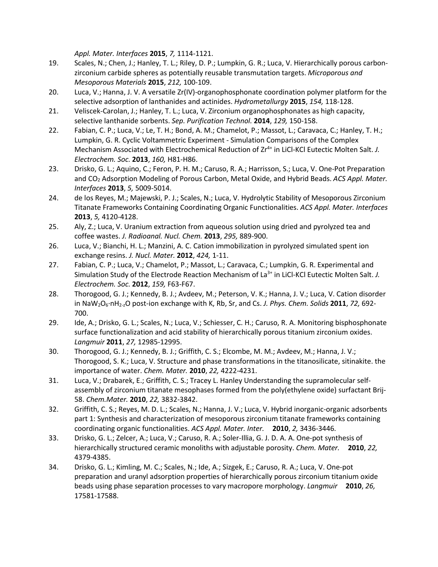*Appl. Mater. Interfaces* **2015**, *7,* 1114-1121.

- 19. Scales, N.; Chen, J.; Hanley, T. L.; Riley, D. P.; Lumpkin, G. R.; Luca, V. Hierarchically porous carbonzirconium carbide spheres as potentially reusable transmutation targets. *Microporous and Mesoporous Materials* **2015**, *212,* 100-109.
- 20. Luca, V.; Hanna, J. V. A versatile Zr(IV)-organophosphonate coordination polymer platform for the selective adsorption of lanthanides and actinides. *Hydrometallurgy* **2015**, *154,* 118-128.
- 21. Veliscek-Carolan, J.; Hanley, T. L.; Luca, V. Zirconium organophosphonates as high capacity, selective lanthanide sorbents. *Sep. Purification Technol.* **2014**, *129,* 150-158.
- 22. Fabian, C. P.; Luca, V.; Le, T. H.; Bond, A. M.; Chamelot, P.; Massot, L.; Caravaca, C.; Hanley, T. H.; Lumpkin, G. R. Cyclic Voltammetric Experiment - Simulation Comparisons of the Complex Mechanism Associated with Electrochemical Reduction of Zr4+ in LiCl-KCl Eutectic Molten Salt. *J. Electrochem. Soc.* **2013**, *160,* H81-H86.
- 23. Drisko, G. L.; Aquino, C.; Feron, P. H. M.; Caruso, R. A.; Harrisson, S.; Luca, V. One-Pot Preparation and CO2 Adsorption Modeling of Porous Carbon, Metal Oxide, and Hybrid Beads. *ACS Appl. Mater. Interfaces* **2013**, *5,* 5009-5014.
- 24. de los Reyes, M.; Majewski, P. J.; Scales, N.; Luca, V. Hydrolytic Stability of Mesoporous Zirconium Titanate Frameworks Containing Coordinating Organic Functionalities. *ACS Appl. Mater. Interfaces* **2013**, *5,* 4120-4128.
- 25. Aly, Z.; Luca, V. Uranium extraction from aqueous solution using dried and pyrolyzed tea and coffee wastes. *J. Radioanal. Nucl. Chem.* **2013**, *295,* 889-900.
- 26. Luca, V.; Bianchi, H. L.; Manzini, A. C. Cation immobilization in pyrolyzed simulated spent ion exchange resins. *J. Nucl. Mater.* **2012**, *424,* 1-11.
- 27. Fabian, C. P.; Luca, V.; Chamelot, P.; Massot, L.; Caravaca, C.; Lumpkin, G. R. Experimental and Simulation Study of the Electrode Reaction Mechanism of La<sup>3+</sup> in LiCl-KCl Eutectic Molten Salt. *J. Electrochem. Soc.* **2012**, *159,* F63-F67.
- 28. Thorogood, G. J.; Kennedy, B. J.; Avdeev, M.; Peterson, V. K.; Hanna, J. V.; Luca, V. Cation disorder in NaW2O6·nH2-zO post-ion exchange with K, Rb, Sr, and Cs. *J. Phys. Chem. Solids* **2011**, *72,* 692- 700.
- 29. Ide, A.; Drisko, G. L.; Scales, N.; Luca, V.; Schiesser, C. H.; Caruso, R. A. Monitoring bisphosphonate surface functionalization and acid stability of hierarchically porous titanium zirconium oxides. *Langmuir* **2011**, *27,* 12985-12995.
- 30. Thorogood, G. J.; Kennedy, B. J.; Griffith, C. S.; Elcombe, M. M.; Avdeev, M.; Hanna, J. V.; Thorogood, S. K.; Luca, V. Structure and phase transformations in the titanosilicate, sitinakite. the importance of water. *Chem. Mater.* **2010**, *22,* 4222-4231.
- 31. Luca, V.; Drabarek, E.; Griffith, C. S.; Tracey L. Hanley Understanding the supramolecular selfassembly of zirconium titanate mesophases formed from the poly(ethylene oxide) surfactant Brij-58. *Chem.Mater.* **2010**, *22,* 3832-3842.
- 32. Griffith, C. S.; Reyes, M. D. L.; Scales, N.; Hanna, J. V.; Luca, V. Hybrid inorganic-organic adsorbents part 1: Synthesis and characterization of mesoporous zirconium titanate frameworks containing coordinating organic functionalities. *ACS Appl. Mater. Inter.* **2010**, *2,* 3436-3446.
- 33. Drisko, G. L.; Zelcer, A.; Luca, V.; Caruso, R. A.; Soler-Illia, G. J. D. A. A. One-pot synthesis of hierarchically structured ceramic monoliths with adjustable porosity. *Chem. Mater.* **2010**, *22,* 4379-4385.
- 34. Drisko, G. L.; Kimling, M. C.; Scales, N.; Ide, A.; Sizgek, E.; Caruso, R. A.; Luca, V. One-pot preparation and uranyl adsorption properties of hierarchically porous zirconium titanium oxide beads using phase separation processes to vary macropore morphology. *Langmuir* **2010**, *26,* 17581-17588.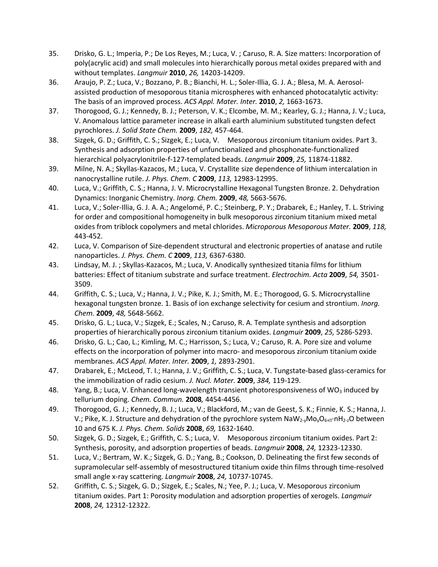- 35. Drisko, G. L.; Imperia, P.; De Los Reyes, M.; Luca, V. ; Caruso, R. A. Size matters: Incorporation of poly(acrylic acid) and small molecules into hierarchically porous metal oxides prepared with and without templates. *Langmuir* **2010**, *26,* 14203-14209.
- 36. Araujo, P. Z.; Luca, V.; Bozzano, P. B.; Bianchi, H. L.; Soler-Illia, G. J. A.; Blesa, M. A. Aerosolassisted production of mesoporous titania microspheres with enhanced photocatalytic activity: The basis of an improved process. *ACS Appl. Mater. Inter.* **2010**, *2,* 1663-1673.
- 37. Thorogood, G. J.; Kennedy, B. J.; Peterson, V. K.; Elcombe, M. M.; Kearley, G. J.; Hanna, J. V.; Luca, V. Anomalous lattice parameter increase in alkali earth aluminium substituted tungsten defect pyrochlores. *J. Solid State Chem.* **2009**, *182,* 457-464.
- 38. Sizgek, G. D.; Griffith, C. S.; Sizgek, E.; Luca, V. Mesoporous zirconium titanium oxides. Part 3. Synthesis and adsorption properties of unfunctionalized and phosphonate-functionalized hierarchical polyacrylonitrile-f-127-templated beads. *Langmuir* **2009**, *25,* 11874-11882.
- 39. Milne, N. A.; Skyllas-Kazacos, M.; Luca, V. Crystallite size dependence of lithium intercalation in nanocrystalline rutile. *J. Phys. Chem. C* **2009**, *113,* 12983-12995.
- 40. Luca, V.; Griffith, C. S.; Hanna, J. V. Microcrystalline Hexagonal Tungsten Bronze. 2. Dehydration Dynamics: Inorganic Chemistry. *Inorg. Chem.* **2009**, *48,* 5663-5676.
- 41. Luca, V.; Soler-Illia, G. J. A. A.; Angelomé, P. C.; Steinberg, P. Y.; Drabarek, E.; Hanley, T. L. Striving for order and compositional homogeneity in bulk mesoporous zirconium titanium mixed metal oxides from triblock copolymers and metal chlorides. *Microporous Mesoporous Mater.* **2009**, *118,* 443-452.
- 42. Luca, V. Comparison of Size-dependent structural and electronic properties of anatase and rutile nanoparticles. *J. Phys. Chem. C* **2009**, *113,* 6367-6380.
- 43. Lindsay, M. J. ; Skyllas-Kazacos, M.; Luca, V. Anodically synthesized titania films for lithium batteries: Effect of titanium substrate and surface treatment. *Electrochim. Acta* **2009**, *54,* 3501- 3509.
- 44. Griffith, C. S.; Luca, V.; Hanna, J. V.; Pike, K. J.; Smith, M. E.; Thorogood, G. S. Microcrystalline hexagonal tungsten bronze. 1. Basis of ion exchange selectivity for cesium and strontium. *Inorg. Chem.* **2009**, *48,* 5648-5662.
- 45. Drisko, G. L.; Luca, V.; Sizgek, E.; Scales, N.; Caruso, R. A. Template synthesis and adsorption properties of hierarchically porous zirconium titanium oxides. *Langmuir* **2009**, *25,* 5286-5293.
- 46. Drisko, G. L.; Cao, L.; Kimling, M. C.; Harrisson, S.; Luca, V.; Caruso, R. A. Pore size and volume effects on the incorporation of polymer into macro- and mesoporous zirconium titanium oxide membranes. *ACS Appl. Mater. Inter.* **2009**, *1,* 2893-2901.
- 47. Drabarek, E.; McLeod, T. I.; Hanna, J. V.; Griffith, C. S.; Luca, V. Tungstate-based glass-ceramics for the immobilization of radio cesium. *J. Nucl. Mater.* **2009**, *384,* 119-129.
- 48. Yang, B.; Luca, V. Enhanced long-wavelength transient photoresponsiveness of WO<sub>3</sub> induced by tellurium doping. *Chem. Commun.* **2008***,* 4454-4456.
- 49. Thorogood, G. J.; Kennedy, B. J.; Luca, V.; Blackford, M.; van de Geest, S. K.; Finnie, K. S.; Hanna, J. V.; Pike, K. J. Structure and dehydration of the pyrochlore system  $\text{NaW}_{2} \cdot \text{Mo}_v \text{O}_{6+10} \cdot \text{nH}_{2-2}$ O between 10 and 675 K. *J. Phys. Chem. Solids* **2008**, *69,* 1632-1640.
- 50. Sizgek, G. D.; Sizgek, E.; Griffith, C. S.; Luca, V. Mesoporous zirconium titanium oxides. Part 2: Synthesis, porosity, and adsorption properties of beads. *Langmuir* **2008**, *24,* 12323-12330.
- 51. Luca, V.; Bertram, W. K.; Sizgek, G. D.; Yang, B.; Cookson, D. Delineating the first few seconds of supramolecular self-assembly of mesostructured titanium oxide thin films through time-resolved small angle x-ray scattering. *Langmuir* **2008**, *24,* 10737-10745.
- 52. Griffith, C. S.; Sizgek, G. D.; Sizgek, E.; Scales, N.; Yee, P. J.; Luca, V. Mesoporous zirconium titanium oxides. Part 1: Porosity modulation and adsorption properties of xerogels. *Langmuir* **2008**, *24,* 12312-12322.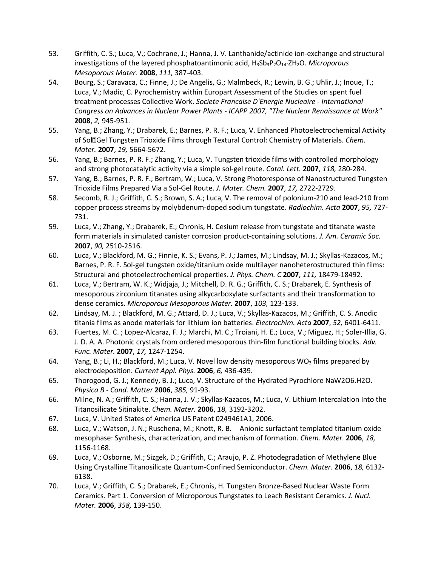- 53. Griffith, C. S.; Luca, V.; Cochrane, J.; Hanna, J. V. Lanthanide/actinide ion-exchange and structural investigations of the layered phosphatoantimonic acid, H3Sb3P2O14·ZH2O. *Microporous Mesoporous Mater.* **2008**, *111,* 387-403.
- 54. Bourg, S.; Caravaca, C.; Finne, J.; De Angelis, G.; Malmbeck, R.; Lewin, B. G.; Uhlir, J.; Inoue, T.; Luca, V.; Madic, C. Pyrochemistry within Europart Assessment of the Studies on spent fuel treatment processes Collective Work. *Societe Francaise D'Energie Nucleaire - International Congress on Advances in Nuclear Power Plants - ICAPP 2007, "The Nuclear Renaissance at Work"* **2008**, *2,* 945-951.
- 55. Yang, B.; Zhang, Y.; Drabarek, E.; Barnes, P. R. F.; Luca, V. Enhanced Photoelectrochemical Activity of SolGel Tungsten Trioxide Films through Textural Control: Chemistry of Materials. *Chem. Mater.* **2007**, *19,* 5664-5672.
- 56. Yang, B.; Barnes, P. R. F.; Zhang, Y.; Luca, V. Tungsten trioxide films with controlled morphology and strong photocatalytic activity via a simple sol-gel route. *Catal. Lett.* **2007**, *118,* 280-284.
- 57. Yang, B.; Barnes, P. R. F.; Bertram, W.; Luca, V. Strong Photoresponse of Nanostructured Tungsten Trioxide Films Prepared Via a Sol-Gel Route. *J. Mater. Chem.* **2007**, *17,* 2722-2729.
- 58. Secomb, R. J.; Griffith, C. S.; Brown, S. A.; Luca, V. The removal of polonium-210 and lead-210 from copper process streams by molybdenum-doped sodium tungstate. *Radiochim. Acta* **2007**, *95,* 727- 731.
- 59. Luca, V.; Zhang, Y.; Drabarek, E.; Chronis, H. Cesium release from tungstate and titanate waste form materials in simulated canister corrosion product-containing solutions. *J. Am. Ceramic Soc.* **2007**, *90,* 2510-2516.
- 60. Luca, V.; Blackford, M. G.; Finnie, K. S.; Evans, P. J.; James, M.; Lindsay, M. J.; Skyllas-Kazacos, M.; Barnes, P. R. F. Sol-gel tungsten oxide/titanium oxide multilayer nanoheterostructured thin films: Structural and photoelectrochemical properties. *J. Phys. Chem. C* **2007**, *111,* 18479-18492.
- 61. Luca, V.; Bertram, W. K.; Widjaja, J.; Mitchell, D. R. G.; Griffith, C. S.; Drabarek, E. Synthesis of mesoporous zirconium titanates using alkycarboxylate surfactants and their transformation to dense ceramics. *Microporous Mesoporous Mater.* **2007**, *103,* 123-133.
- 62. Lindsay, M. J. ; Blackford, M. G.; Attard, D. J.; Luca, V.; Skyllas-Kazacos, M.; Griffith, C. S. Anodic titania films as anode materials for lithium ion batteries. *Electrochim. Acta* **2007**, *52,* 6401-6411.
- 63. Fuertes, M. C. ; Lopez-Alcaraz, F. J.; Marchi, M. C.; Troiani, H. E.; Luca, V.; Miguez, H.; Soler-Illia, G. J. D. A. A. Photonic crystals from ordered mesoporous thin-film functional building blocks. *Adv. Func. Mater.* **2007**, *17,* 1247-1254.
- 64. Yang, B.; Li, H.; Blackford, M.; Luca, V. Novel low density mesoporous WO<sub>3</sub> films prepared by electrodeposition. *Current Appl. Phys.* **2006**, *6,* 436-439.
- 65. Thorogood, G. J.; Kennedy, B. J.; Luca, V. Structure of the Hydrated Pyrochlore NaW2O6.H2O. *Physica B - Cond. Matter* **2006**, *385,* 91-93.
- 66. Milne, N. A.; Griffith, C. S.; Hanna, J. V.; Skyllas-Kazacos, M.; Luca, V. Lithium Intercalation Into the Titanosilicate Sitinakite. *Chem. Mater.* **2006**, *18,* 3192-3202.
- 67. Luca, V. United States of America US Patent 0249461A1, 2006.
- 68. Luca, V.; Watson, J. N.; Ruschena, M.; Knott, R. B. Anionic surfactant templated titanium oxide mesophase: Synthesis, characterization, and mechanism of formation. *Chem. Mater.* **2006**, *18,* 1156-1168.
- 69. Luca, V.; Osborne, M.; Sizgek, D.; Griffith, C.; Araujo, P. Z. Photodegradation of Methylene Blue Using Crystalline Titanosilicate Quantum-Confined Semiconductor. *Chem. Mater.* **2006**, *18,* 6132- 6138.
- 70. Luca, V.; Griffith, C. S.; Drabarek, E.; Chronis, H. Tungsten Bronze-Based Nuclear Waste Form Ceramics. Part 1. Conversion of Microporous Tungstates to Leach Resistant Ceramics. *J. Nucl. Mater.* **2006**, *358,* 139-150.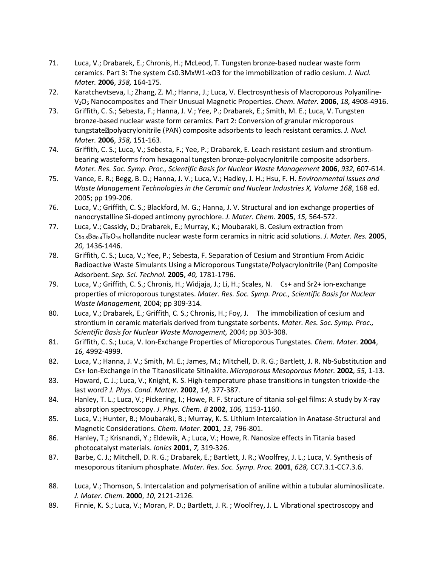- 71. Luca, V.; Drabarek, E.; Chronis, H.; McLeod, T. Tungsten bronze-based nuclear waste form ceramics. Part 3: The system Cs0.3MxW1-xO3 for the immobilization of radio cesium. *J. Nucl. Mater.* **2006**, *358,* 164-175.
- 72. Karatchevtseva, I.; Zhang, Z. M.; Hanna, J.; Luca, V. Electrosynthesis of Macroporous Polyaniline-V2O5 Nanocomposites and Their Unusual Magnetic Properties. *Chem. Mater.* **2006**, *18,* 4908-4916.
- 73. Griffith, C. S.; Sebesta, F.; Hanna, J. V.; Yee, P.; Drabarek, E.; Smith, M. E.; Luca, V. Tungsten bronze-based nuclear waste form ceramics. Part 2: Conversion of granular microporous tungstate<sup>[2]</sup>polyacrylonitrile (PAN) composite adsorbents to leach resistant ceramics. *J. Nucl. Mater.* **2006**, *358,* 151-163.
- 74. Griffith, C. S.; Luca, V.; Sebesta, F.; Yee, P.; Drabarek, E. Leach resistant cesium and strontiumbearing wasteforms from hexagonal tungsten bronze-polyacrylonitrile composite adsorbers. *Mater. Res. Soc. Symp. Proc., Scientific Basis for Nuclear Waste Management* **2006**, *932,* 607-614.
- 75. Vance, E. R.; Begg, B. D.; Hanna, J. V.; Luca, V.; Hadley, J. H.; Hsu, F. H. *Environmental Issues and Waste Management Technologies in the Ceramic and Nuclear Industries X, Volume 168*, 168 ed. 2005; pp 199-206.
- 76. Luca, V.; Griffith, C. S.; Blackford, M. G.; Hanna, J. V. Structural and ion exchange properties of nanocrystalline Si-doped antimony pyrochlore. *J. Mater. Chem.* **2005**, *15,* 564-572.
- 77. Luca, V.; Cassidy, D.; Drabarek, E.; Murray, K.; Moubaraki, B. Cesium extraction from Cs0.8Ba0.4Ti8O16 hollandite nuclear waste form ceramics in nitric acid solutions. *J. Mater. Res.* **2005**, *20,* 1436-1446.
- 78. Griffith, C. S.; Luca, V.; Yee, P.; Sebesta, F. Separation of Cesium and Strontium From Acidic Radioactive Waste Simulants Using a Microporous Tungstate/Polyacrylonitrile (Pan) Composite Adsorbent. *Sep. Sci. Technol.* **2005**, *40,* 1781-1796.
- 79. Luca, V.; Griffith, C. S.; Chronis, H.; Widjaja, J.; Li, H.; Scales, N. Cs+ and Sr2+ ion-exchange properties of microporous tungstates. *Mater. Res. Soc. Symp. Proc., Scientific Basis for Nuclear Waste Management,* 2004; pp 309-314.
- 80. Luca, V.; Drabarek, E.; Griffith, C. S.; Chronis, H.; Foy, J. The immobilization of cesium and strontium in ceramic materials derived from tungstate sorbents. *Mater. Res. Soc. Symp. Proc., Scientific Basis for Nuclear Waste Management,* 2004; pp 303-308.
- 81. Griffith, C. S.; Luca, V. Ion-Exchange Properties of Microporous Tungstates. *Chem. Mater.* **2004**, *16,* 4992-4999.
- 82. Luca, V.; Hanna, J. V.; Smith, M. E.; James, M.; Mitchell, D. R. G.; Bartlett, J. R. Nb-Substitution and Cs+ Ion-Exchange in the Titanosilicate Sitinakite. *Microporous Mesoporous Mater.* **2002**, *55,* 1-13.
- 83. Howard, C. J.; Luca, V.; Knight, K. S. High-temperature phase transitions in tungsten trioxide-the last word? *J. Phys. Cond. Matter.* **2002**, *14,* 377-387.
- 84. Hanley, T. L.; Luca, V.; Pickering, I.; Howe, R. F. Structure of titania sol-gel films: A study by X-ray absorption spectroscopy. *J. Phys. Chem. B* **2002**, *106,* 1153-1160.
- 85. Luca, V.; Hunter, B.; Moubaraki, B.; Murray, K. S. Lithium Intercalation in Anatase-Structural and Magnetic Considerations. *Chem. Mater.* **2001**, *13,* 796-801.
- 86. Hanley, T.; Krisnandi, Y.; Eldewik, A.; Luca, V.; Howe, R. Nanosize effects in Titania based photocatalyst materials. *Ionics* **2001**, *7,* 319-326.
- 87. Barbe, C. J.; Mitchell, D. R. G.; Drabarek, E.; Bartlett, J. R.; Woolfrey, J. L.; Luca, V. Synthesis of mesoporous titanium phosphate. *Mater. Res. Soc. Symp. Proc.* **2001**, *628,* CC7.3.1-CC7.3.6.
- 88. Luca, V.; Thomson, S. Intercalation and polymerisation of aniline within a tubular aluminosilicate. *J. Mater. Chem.* **2000**, *10,* 2121-2126.
- 89. Finnie, K. S.; Luca, V.; Moran, P. D.; Bartlett, J. R. ; Woolfrey, J. L. Vibrational spectroscopy and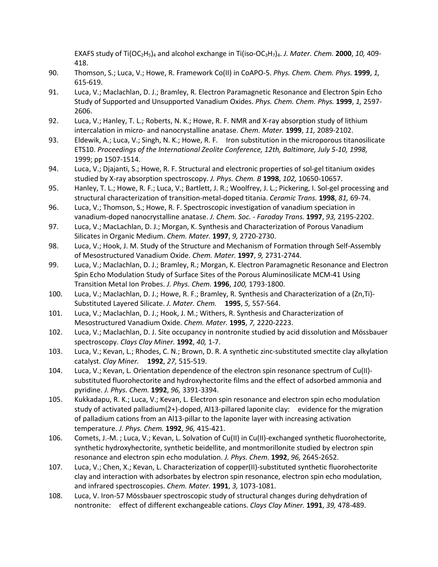EXAFS study of Ti(OC<sub>2</sub>H<sub>5</sub>)<sub>4</sub> and alcohol exchange in Ti(iso-OC<sub>3</sub>H<sub>7</sub>)<sub>4</sub>. *J. Mater. Chem.* **2000**, 10, 409-418.

- 90. Thomson, S.; Luca, V.; Howe, R. Framework Co(II) in CoAPO-5. *Phys. Chem. Chem. Phys.* **1999**, *1,* 615-619.
- 91. Luca, V.; Maclachlan, D. J.; Bramley, R. Electron Paramagnetic Resonance and Electron Spin Echo Study of Supported and Unsupported Vanadium Oxides. *Phys. Chem. Chem. Phys.* **1999**, *1,* 2597- 2606.
- 92. Luca, V.; Hanley, T. L.; Roberts, N. K.; Howe, R. F. NMR and X-ray absorption study of lithium intercalation in micro- and nanocrystalline anatase. *Chem. Mater.* **1999**, *11,* 2089-2102.
- 93. Eldewik, A.; Luca, V.; Singh, N. K.; Howe, R. F. Iron substitution in the microporous titanosilicate ETS10. *Proceedings of the International Zeolite Conference, 12th, Baltimore, July 5-10, 1998,* 1999; pp 1507-1514.
- 94. Luca, V.; Djajanti, S.; Howe, R. F. Structural and electronic properties of sol-gel titanium oxides studied by X-ray absorption spectroscopy. *J. Phys. Chem. B* **1998**, *102,* 10650-10657.
- 95. Hanley, T. L.; Howe, R. F.; Luca, V.; Bartlett, J. R.; Woolfrey, J. L.; Pickering, I. Sol-gel processing and structural characterization of transition-metal-doped titania. *Ceramic Trans.* **1998**, *81,* 69-74.
- 96. Luca, V.; Thomson, S.; Howe, R. F. Spectroscopic investigation of vanadium speciation in vanadium-doped nanocrystalline anatase. *J. Chem. Soc. - Faraday Trans.* **1997**, *93,* 2195-2202.
- 97. Luca, V.; MacLachlan, D. J.; Morgan, K. Synthesis and Characterization of Porous Vanadium Silicates in Organic Medium. *Chem. Mater.* **1997**, *9,* 2720-2730.
- 98. Luca, V.; Hook, J. M. Study of the Structure and Mechanism of Formation through Self-Assembly of Mesostructured Vanadium Oxide. *Chem. Mater.* **1997**, *9,* 2731-2744.
- 99. Luca, V.; Maclachlan, D. J.; Bramley, R.; Morgan, K. Electron Paramagnetic Resonance and Electron Spin Echo Modulation Study of Surface Sites of the Porous Aluminosilicate MCM-41 Using Transition Metal Ion Probes. *J. Phys. Chem.* **1996**, *100,* 1793-1800.
- 100. Luca, V.; Maclachlan, D. J.; Howe, R. F.; Bramley, R. Synthesis and Characterization of a (Zn,Ti)- Substituted Layered Silicate. *J. Mater. Chem.* **1995**, *5,* 557-564.
- 101. Luca, V.; Maclachlan, D. J.; Hook, J. M.; Withers, R. Synthesis and Characterization of Mesostructured Vanadium Oxide. *Chem. Mater.* **1995**, *7,* 2220-2223.
- 102. Luca, V.; Maclachlan, D. J. Site occupancy in nontronite studied by acid dissolution and Mössbauer spectroscopy. *Clays Clay Miner.* **1992**, *40,* 1-7.
- 103. Luca, V.; Kevan, L.; Rhodes, C. N.; Brown, D. R. A synthetic zinc-substituted smectite clay alkylation catalyst. *Clay Miner.* **1992**, *27,* 515-519.
- 104. Luca, V.; Kevan, L. Orientation dependence of the electron spin resonance spectrum of Cu(II) substituted fluorohectorite and hydroxyhectorite films and the effect of adsorbed ammonia and pyridine. *J. Phys. Chem.* **1992**, *96,* 3391-3394.
- 105. Kukkadapu, R. K.; Luca, V.; Kevan, L. Electron spin resonance and electron spin echo modulation study of activated palladium(2+)-doped, Al13-pillared laponite clay: evidence for the migration of palladium cations from an Al13-pillar to the laponite layer with increasing activation temperature. *J. Phys. Chem.* **1992**, *96,* 415-421.
- 106. Comets, J.-M. ; Luca, V.; Kevan, L. Solvation of Cu(II) in Cu(II)-exchanged synthetic fluorohectorite, synthetic hydroxyhectorite, synthetic beidellite, and montmorillonite studied by electron spin resonance and electron spin echo modulation. *J. Phys. Chem.* **1992**, *96,* 2645-2652.
- 107. Luca, V.; Chen, X.; Kevan, L. Characterization of copper(II)-substituted synthetic fluorohectorite clay and interaction with adsorbates by electron spin resonance, electron spin echo modulation, and infrared spectroscopies. *Chem. Mater.* **1991**, *3,* 1073-1081.
- 108. Luca, V. Iron-57 Mössbauer spectroscopic study of structural changes during dehydration of nontronite: effect of different exchangeable cations. *Clays Clay Miner.* **1991**, *39,* 478-489.